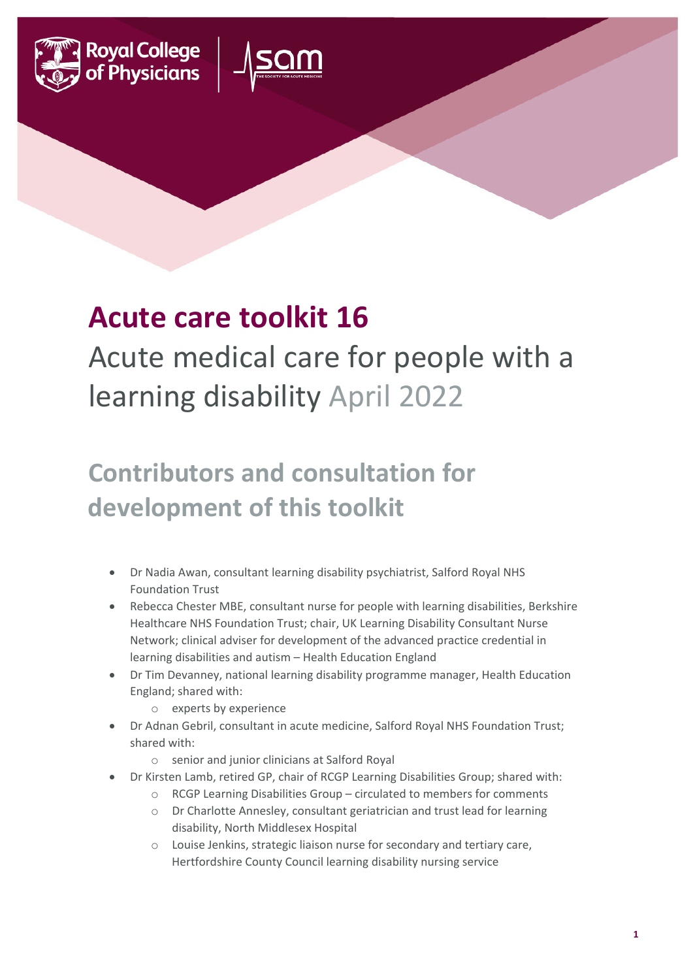



## **Acute care toolkit 16**

## Acute medical care for people with a learning disability April 2022

## **Contributors and consultation for development of this toolkit**

- Dr Nadia Awan, consultant learning disability psychiatrist, Salford Royal NHS Foundation Trust
- Rebecca Chester MBE, consultant nurse for people with learning disabilities, Berkshire Healthcare NHS Foundation Trust; chair, UK Learning Disability Consultant Nurse Network; clinical adviser for development of the advanced practice credential in learning disabilities and autism – Health Education England
- Dr Tim Devanney, national learning disability programme manager, Health Education England; shared with:
	- o experts by experience
- Dr Adnan Gebril, consultant in acute medicine, Salford Royal NHS Foundation Trust; shared with:
	- o senior and junior clinicians at Salford Royal
- Dr Kirsten Lamb, retired GP, chair of RCGP Learning Disabilities Group; shared with:
	- o RCGP Learning Disabilities Group circulated to members for comments
	- o Dr Charlotte Annesley, consultant geriatrician and trust lead for learning disability, North Middlesex Hospital
	- o Louise Jenkins, strategic liaison nurse for secondary and tertiary care, Hertfordshire County Council learning disability nursing service